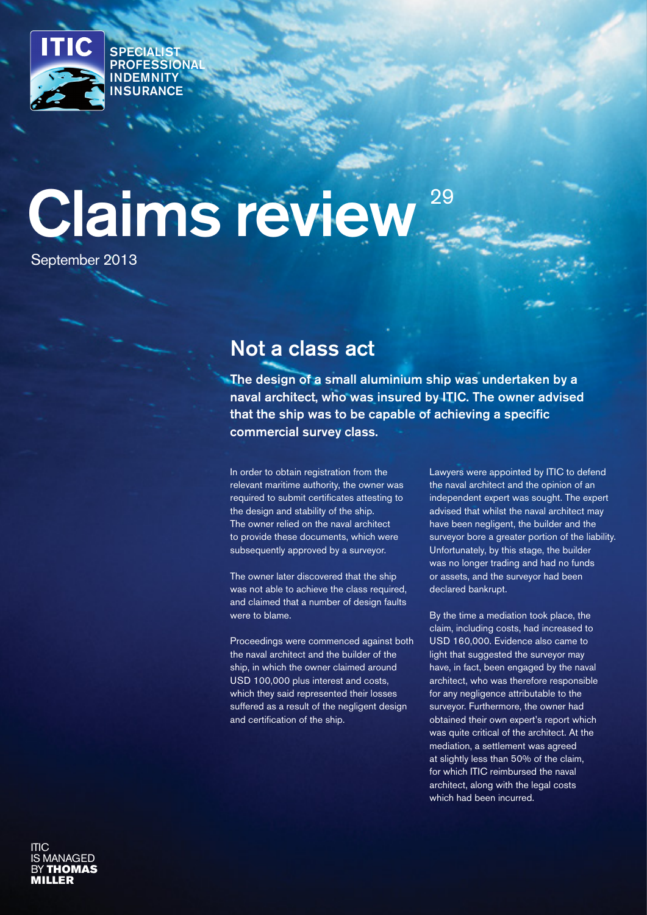

SPECIALIST **PROFESSIONAL** INDEMNITY **INSURANCE** 

# Claims review 29

September 2013

# Not a class act

The design of a small aluminium ship was undertaken by a naval architect, who was insured by ITIC. The owner advised that the ship was to be capable of achieving a specific commercial survey class.

In order to obtain registration from the relevant maritime authority, the owner was required to submit certificates attesting to the design and stability of the ship. The owner relied on the naval architect to provide these documents, which were subsequently approved by a surveyor.

The owner later discovered that the ship was not able to achieve the class required. and claimed that a number of design faults were to blame.

Proceedings were commenced against both the naval architect and the builder of the ship, in which the owner claimed around USD 100,000 plus interest and costs, which they said represented their losses suffered as a result of the negligent design and certification of the ship.

Lawyers were appointed by ITIC to defend the naval architect and the opinion of an independent expert was sought. The expert advised that whilst the naval architect may have been negligent, the builder and the surveyor bore a greater portion of the liability. Unfortunately, by this stage, the builder was no longer trading and had no funds or assets, and the surveyor had been declared bankrupt.

By the time a mediation took place, the claim, including costs, had increased to USD 160,000. Evidence also came to light that suggested the surveyor may have, in fact, been engaged by the naval architect, who was therefore responsible for any negligence attributable to the surveyor. Furthermore, the owner had obtained their own expert's report which was quite critical of the architect. At the mediation, a settlement was agreed at slightly less than 50% of the claim, for which ITIC reimbursed the naval architect, along with the legal costs which had been incurred.

ITIC **ANAGED BY THOMAS** MILLER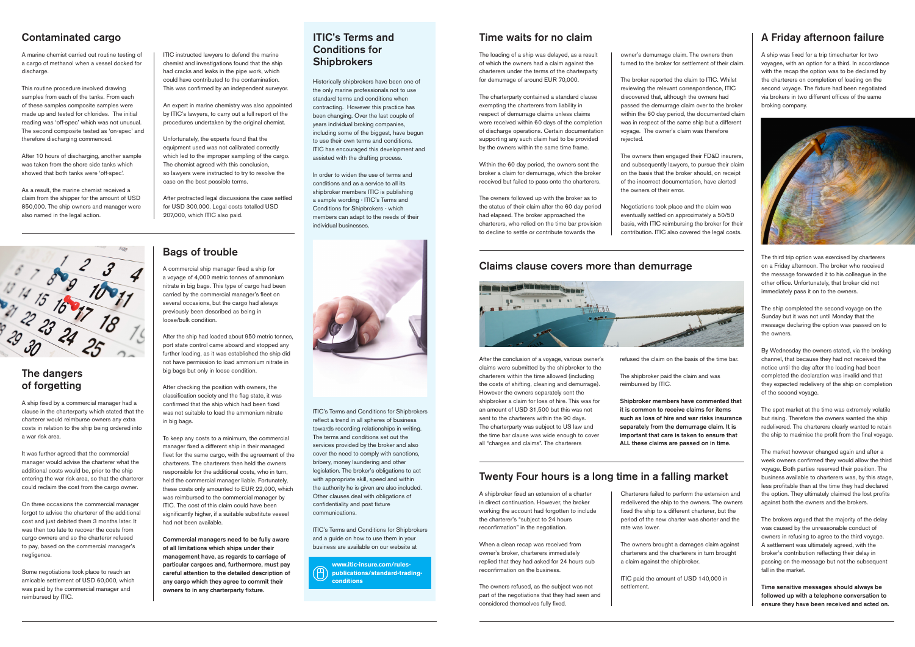Historically shipbrokers have been one of the only marine professionals not to use standard terms and conditions when contracting. However this practice has been changing. Over the last couple of years individual broking companies, including some of the biggest, have begun to use their own terms and conditions. ITIC has encouraged this development and assisted with the drafting process.

In order to widen the use of terms and conditions and as a service to all its shipbroker members ITIC is publishing a sample wording - ITIC's Terms and Conditions for Shipbrokers - which members can adapt to the needs of their individual businesses.



ITIC's Terms and Conditions for Shipbrokers reflect a trend in all spheres of business towards recording relationships in writing. The terms and conditions set out the services provided by the broker and also cover the need to comply with sanctions, bribery, money laundering and other legislation. The broker's obligations to act with appropriate skill, speed and within the authority he is given are also included. Other clauses deal with obligations of confidentiality and post fixture communications.

Softwitch Storm of the loading of a ship was delayed, as a result owner's demurrage claim. The owners then owners then owners then of which the owners had a claim against the turned to the broker for settlement of their cl The loading of a ship was delayed, as a result charterers under the terms of the charterparty for demurrage of around EUR 70,000.

ITIC's Terms and Conditions for Shipbrokers and a guide on how to use them in your business are available on our website at

**www.itic-insure.com/rules-** $\left( \right)$ **publications/standard-tradingconditions**

# ITIC's Terms and Conditions for

turned to the broker for settlement of their claim.

The broker reported the claim to ITIC. Whilst reviewing the relevant correspondence, ITIC discovered that, although the owners had passed the demurrage claim over to the broker within the 60 day period, the documented claim was in respect of the same ship but a different voyage. The owner's claim was therefore rejected.

The owners then engaged their FD&D insurers, and subsequently lawyers, to pursue their claim on the basis that the broker should, on receipt of the incorrect documentation, have alerted the owners of their error.

Negotiations took place and the claim was eventually settled on approximately a 50/50 basis, with ITIC reimbursing the broker for their contribution. ITIC also covered the legal costs.

The charterparty contained a standard clause exempting the charterers from liability in respect of demurrage claims unless claims were received within 60 days of the completion of discharge operations. Certain documentation supporting any such claim had to be provided by the owners within the same time frame.

Within the 60 day period, the owners sent the broker a claim for demurrage, which the broker received but failed to pass onto the charterers.

The owners followed up with the broker as to the status of their claim after the 60 day period had elapsed. The broker approached the charterers, who relied on the time bar provision to decline to settle or contribute towards the

### Time waits for no claim

A ship was fixed for a trip timecharter for two voyages, with an option for a third. In accordance with the recap the option was to be declared by the charterers on completion of loading on the second voyage. The fixture had been negotiated via brokers in two different offices of the same broking company.



The third trip option was exercised by charterers on a Friday afternoon. The broker who received the message forwarded it to his colleague in the other office. Unfortunately, that broker did not immediately pass it on to the owners.

The ship completed the second voyage on the Sunday but it was not until Monday that the message declaring the option was passed on to the owners.

By Wednesday the owners stated, via the broking channel, that because they had not received the notice until the day after the loading had been completed the declaration was invalid and that they expected redelivery of the ship on completion of the second voyage.

The spot market at the time was extremely volatile but rising. Therefore the owners wanted the ship redelivered. The charterers clearly wanted to retain the ship to maximise the profit from the final voyage.

The market however changed again and after a week owners confirmed they would allow the third voyage. Both parties reserved their position. The business available to charterers was, by this stage, less profitable than at the time they had declared the option. They ultimately claimed the lost profits against both the owners and the brokers.

The brokers argued that the majority of the delay was caused by the unreasonable conduct of owners in refusing to agree to the third voyage. A settlement was ultimately agreed, with the broker's contribution reflecting their delay in passing on the message but not the subsequent fall in the market.

Time sensitive messages should always be followed up with a telephone conversation to ensure they have been received and acted on.

# A Friday afternoon failure

refused the claim on the basis of the time bar.

The shipbroker paid the claim and was reimbursed by ITIC.

Shipbroker members have commented that it is common to receive claims for items such as loss of hire and war risks insurance separately from the demurrage claim. It is important that care is taken to ensure that ALL these claims are passed on in time.

Charterers failed to perform the extension and redelivered the ship to the owners. The owners fixed the ship to a different charterer, but the period of the new charter was shorter and the rate was lower.

The owners brought a damages claim against charterers and the charterers in turn brought a claim against the shipbroker.

ITIC paid the amount of USD 140,000 in settlement.

A shipbroker fixed an extension of a charter in direct continuation. However, the broker working the account had forgotten to include the charterer's "subject to 24 hours reconfirmation" in the negotiation.

When a clean recap was received from owner's broker, charterers immediately replied that they had asked for 24 hours sub reconfirmation on the business.

The owners refused, as the subject was not part of the negotiations that they had seen and considered themselves fully fixed.

# Twenty Four hours is a long time in a falling market

ITIC instructed lawyers to defend the marine chemist and investigations found that the ship had cracks and leaks in the pipe work, which could have contributed to the contamination. This was confirmed by an independent surveyor.

An expert in marine chemistry was also appointed by ITIC's lawyers, to carry out a full report of the procedures undertaken by the original chemist.

Unfortunately, the experts found that the equipment used was not calibrated correctly which led to the improper sampling of the cargo. The chemist agreed with this conclusion, so lawyers were instructed to try to resolve the case on the best possible terms.

After protracted legal discussions the case settled for USD 300,000. Legal costs totalled USD 207,000, which ITIC also paid.

A marine chemist carried out routine testing of a cargo of methanol when a vessel docked for discharge.

This routine procedure involved drawing samples from each of the tanks. From each of these samples composite samples were made up and tested for chlorides. The initial reading was 'off-spec' which was not unusual. The second composite tested as 'on-spec' and therefore discharging commenced.

After 10 hours of discharging, another sample was taken from the shore side tanks which showed that both tanks were 'off-spec'.

As a result, the marine chemist received a claim from the shipper for the amount of USD 850,000. The ship owners and manager were also named in the legal action.



## Contaminated cargo

A ship fixed by a commercial manager had a clause in the charterparty which stated that the charterer would reimburse owners any extra costs in relation to the ship being ordered into a war risk area.

It was further agreed that the commercial manager would advise the charterer what the additional costs would be, prior to the ship entering the war risk area, so that the charterer could reclaim the cost from the cargo owner.

On three occasions the commercial manager forgot to advise the charterer of the additional cost and just debited them 3 months later. It was then too late to recover the costs from cargo owners and so the charterer refused to pay, based on the commercial manager's negligence.

Some negotiations took place to reach an amicable settlement of USD 60,000, which was paid by the commercial manager and reimbursed by ITIC.

## The dangers of forgetting

A commercial ship manager fixed a ship for a voyage of 4,000 metric tonnes of ammonium nitrate in big bags. This type of cargo had been carried by the commercial manager's fleet on several occasions, but the cargo had always previously been described as being in

loose/bulk condition.

After the ship had loaded about 950 metric tonnes, port state control came aboard and stopped any further loading, as it was established the ship did not have permission to load ammonium nitrate in

big bags but only in loose condition.

After checking the position with owners, the classification society and the flag state, it was confirmed that the ship which had been fixed was not suitable to load the ammonium nitrate

in big bags.

To keep any costs to a minimum, the commercial manager fixed a different ship in their managed fleet for the same cargo, with the agreement of the charterers. The charterers then held the owners responsible for the additional costs, who in turn, held the commercial manager liable. Fortunately, these costs only amounted to EUR 22,000, which was reimbursed to the commercial manager by ITIC. The cost of this claim could have been significantly higher, if a suitable substitute vessel

had not been available.

Commercial managers need to be fully aware of all limitations which ships under their management have, as regards to carriage of particular cargoes and, furthermore, must pay careful attention to the detailed description of any cargo which they agree to commit their owners to in any charterparty fixture.

Bags of trouble

After the conclusion of a voyage, various owner's claims were submitted by the shipbroker to the charterers within the time allowed (including the costs of shifting, cleaning and demurrage). However the owners separately sent the shipbroker a claim for loss of hire. This was for an amount of USD 31,500 but this was not sent to the charterers within the 90 days. The charterparty was subject to US law and the time bar clause was wide enough to cover all "charges and claims". The charterers